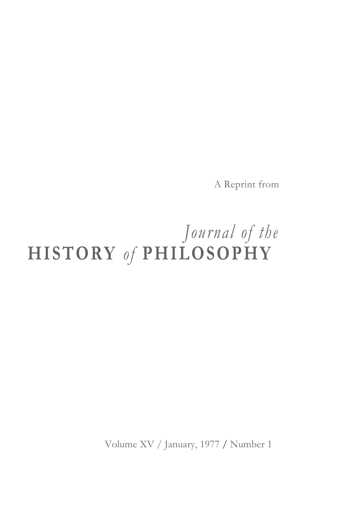A Reprint from

# *Journal of the* **HISTORY** *of* **PHILOSOPHY**

Volume XV / January, 1977 / Number 1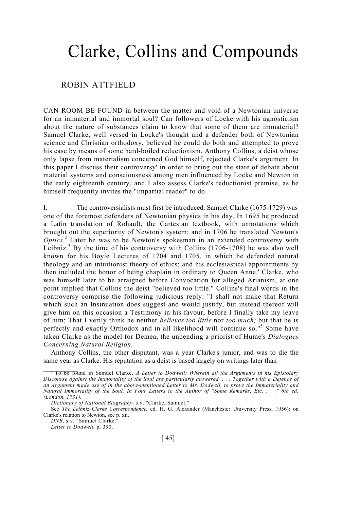## Clarke, Collins and Compounds

### ROBIN ATTFIELD

CAN ROOM BE FOUND in between the matter and void of a Newtonian universe for an immaterial and immortal soul? Can followers of Locke with his agnosticism about the nature of substances claim to know that some of them are immaterial? Samuel Clarke, well versed in Locke's thought and a defender both of Newtonian science and Christian orthodoxy, believed he could do both and attempted to prove his case by means of some hard-boiled reductionism. Anthony Collins, a deist whose only lapse from materialism concerned God himself, rejected Clarke's argument. In this paper I discuss their controversy' in order to bring out the state of debate about material systems and consciousness among men influenced by Locke and Newton in the early eighteenth century, and I also assess Clarke's reductionist premise, as he himself frequently invites the "impartial reader" to do.

I. The controversialists must first be introduced. Samuel Clarke (1675-1729) was one of the foremost defenders of Newtonian physics in his day. In 1695 he produced a Latin translation of Rohault, the Cartesian textbook, with annotations which brought out the superiority of Newton's system; and in 1706 he translated Newton's *Optics.<sup>2</sup>* Later he was to be Newton's spokesman in an extended controversy with Leibniz.<sup>3</sup> By the time of his controversy with Collins (1706-1708) he was also well known for his Boyle Lectures of 1704 and 1705, in which he defended natural theology and an intuitionist theory of ethics; and his ecclesiastical appointments by then included the honor of being chaplain in ordinary to Queen Anne.' Clarke, who was himself later to be arraigned before Convocation for alleged Arianism, at one point implied that Collins the deist "believed too little." Collins's final words in the controversy comprise the following judicious reply: "I shall not make that Return which such an Insinuation does suggest and would justify, but instead thereof will give him on this occasion a Testimony in his favour, before I finally take my leave of him; That I verily think he neither *believes too little* nor *too much;* but that he is perfectly and exactly Orthodox and in all likelihood will continue so."<sup>5</sup> Some have taken Clarke as the model for Demea, the unbending a priorist of Hume's *Dialogues Concerning Natural Religion.*

Anthony Collins, the other disputant, was a year Clarke's junior, and was to die the same year as Clarke. His reputation as a deist is based largely on writings later than

<sup>&#</sup>x27; To be found in Samuel Clarke, *A Letter to Dodwell; Wherein all the Arguments in his Epistolary Discourse against the Immortality of the Soul are particularly answered. . . . Together with a Defence of an Argument made use of in the above-mentioned Letter to Mr. Dodwell, to prove the Immateriality and Natural Immortality of the Soul. In Four Letters to the Author of "Some Remarks, Etc. . . ." 6th ed. (London, 1731).*

*Dictionary of National Biography,* s.v. "Clarke, Samuel."

See *The Leibniz-Clarke Correspondence,* ed. H. G. Alexander (Manchester University Press, 1956); on Clarke's relation to Newton, see p. xii.

DNB, s.v. "Samuel Clarke.

*Letter to Dodwell,* p. 390.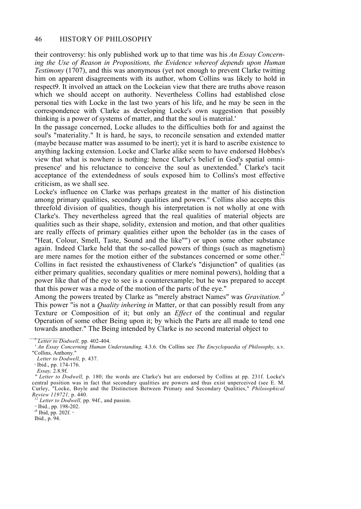their controversy: his only published work up to that time was his *An Essay Concerning the Use of Reason in Propositions, the Evidence whereof depends upon Human Testimony* (1707), and this was anonymous (yet not enough to prevent Clarke twitting him on apparent disagreements with its author, whom Collins was likely to hold in respect9. It involved an attack on the Lockeian view that there are truths above reason which we should accept on authority. Nevertheless Collins had established close personal ties with Locke in the last two years of his life, and he may be seen in the correspondence with Clarke as developing Locke's own suggestion that possibly thinking is a power of systems of matter, and that the soul is material.'

In the passage concerned, Locke alludes to the difficulties both for and against the soul's "materiality." It is hard, he says, to reconcile sensation and extended matter (maybe because matter was assumed to be inert); yet it is hard to ascribe existence to anything lacking extension. Locke and Clarke alike seem to have endorsed Hobbes's view that what is nowhere is nothing: hence Clarke's belief in God's spatial omnipresence' and his reluctance to conceive the soul as unextended. $9$  Clarke's tacit acceptance of the extendedness of souls exposed him to Collins's most effective criticism, as we shall see.

Locke's influence on Clarke was perhaps greatest in the matter of his distinction among primary qualities, secondary qualities and powers.° Collins also accepts this threefold division of qualities, though his interpretation is not wholly at one with Clarke's. They nevertheless agreed that the real qualities of material objects are qualities such as their shape, solidity, extension and motion, and that other qualities are really effects of primary qualities either upon the beholder (as in the cases of "Heat, Colour, Smell, Taste, Sound and the like"") or upon some other substance again. Indeed Clarke held that the so-called powers of things (such as magnetism) are mere names for the motion either of the substances concerned or some other.<sup>12</sup> Collins in fact resisted the exhaustiveness of Clarke's "disjunction" of qualities (as either primary qualities, secondary qualities or mere nominal powers), holding that a power like that of the eye to see is a counterexample; but he was prepared to accept that this power was a mode of the motion of the parts of the eye."

Among the powers treated by Clarke as "merely abstract Names" was *Gravitation.'5* This power "is not a *Quality inhering in* Matter, or that can possibly result from any Texture or Composition of it; but only an *Effect* of the continual and regular Operation of some other Being upon it; by which the Parts are all made to tend one towards another." The Being intended by Clarke is no second material object to

*<sup>6</sup> Letter to Dodwell,* pp. 402-404.

*<sup>&#</sup>x27; An Essay Concerning Human Understanding,* 4.3.6. On Collins see *The Encyclopaedia of Philosophy,* s.v. "Collins, Anthony."

*Letter to Dodwell,* p. 437.

<sup>9</sup> Ibid., pp. 174-176.

*Essay,* 2.8.9f.

*<sup>&</sup>quot; Letter to Dodwell,* p. 180; the words are Clarke's but are endorsed by Collins at pp. 231f. Locke's central position was in fact that secondary qualities are powers and thus exist unperceived (see E. M. Curley, "Locke, Boyle and the Distinction Between Primary and Secondary Qualities," *Philosophical* 

<sup>&</sup>lt;sup>12</sup> Letter to Dodwell, pp. 94f., and passim.

<sup>&</sup>lt;sup>13</sup> Ibid., pp. 198-202.

 $14$  Ibid, pp. 202f. 15

Ibid., p. 94.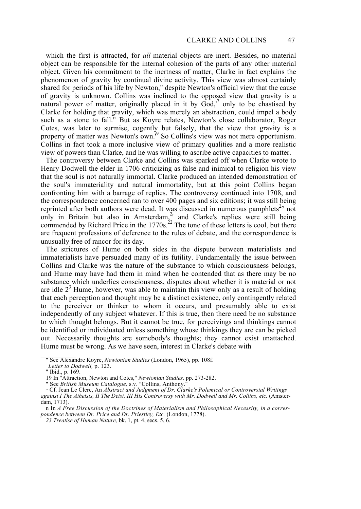which the first is attracted, for *all* material objects are inert. Besides, no material object can be responsible for the internal cohesion of the parts of any other material object. Given his commitment to the inertness of matter, Clarke in fact explains the phenomenon of gravity by continual divine activity. This view was almost certainly shared for periods of his life by Newton," despite Newton's official view that the cause of gravity is unknown. Collins was inclined to the opposed view that gravity is a natural power of matter, originally placed in it by  $God<sub>i</sub><sup>7</sup>$  only to be chastised by Clarke for holding that gravity, which was merely an abstraction, could impel a body such as a stone to fall." But as Koyre relates, Newton's close collaborator, Roger Cotes, was later to surmise, cogently but falsely, that the view that gravity is a property of matter was Newton's own.<sup>19</sup> So Collins's view was not mere opportunism. Collins in fact took a more inclusive view of primary qualities and a more realistic view of powers than Clarke, and he was willing to ascribe active capacities to matter.

The controversy between Clarke and Collins was sparked off when Clarke wrote to Henry Dodwell the elder in 1706 criticizing as false and inimical to religion his view that the soul is not naturally immortal. Clarke produced an intended demonstration of the soul's immateriality and natural immortality, but at this point Collins began confronting him with a barrage of replies. The controversy continued into 1708, and the correspondence concerned ran to over 400 pages and six editions; it was still being reprinted after both authors were dead. It was discussed in numerous pamphlets<sup>2</sup><sup>o</sup> not only in Britain but also in Amsterdam,<sup>2</sup> and Clarke's replies were still being commended by Richard Price in the  $1770s<sup>22</sup>$  The tone of these letters is cool, but there are frequent professions of deference to the rules of debate, and the correspondence is unusually free of rancor for its day.

The strictures of Hume on both sides in the dispute between materialists and immaterialists have persuaded many of its futility. Fundamentally the issue between Collins and Clarke was the nature of the substance to which consciousness belongs, and Hume may have had them in mind when he contended that as there may be no substance which underlies consciousness, disputes about whether it is material or not are idle  $2<sup>3</sup>$  Hume, however, was able to maintain this view only as a result of holding that each perception and thought may be a distinct existence, only contingently related to the perceiver or thinker to whom it occurs, and presumably able to exist independently of any subject whatever. If this is true, then there need be no substance to which thought belongs. But it cannot be true, for perceivings and thinkings cannot be identified or individuated unless something whose thinkings they are can be picked out. Necessarily thoughts are somebody's thoughts; they cannot exist unattached. Hume must be wrong. As we have seen, interest in Clarke's debate with

<sup>&</sup>quot; See Alexandre Koyre, *Newtonian Studies* (London, 1965), pp. 108f.

*Letter to Dodwell,* p. 123.

<sup>&</sup>quot; Ibid., p. 169.

<sup>19</sup> In "Attraction, Newton and Cotes," *Newtonian Studies,* pp. 273-282.

See British Museum Catalogue, s.v. "Collins, Anthony.

<sup>&</sup>lt;sup>21</sup> Cf. Jean Le Clerc, An *Abstract and Judgment of Dr. Clarke's Polemical or Controversial Writings against I The Atheists, II The Deist, III His Controversy with Mr. Dodwell and Mr. Collins, etc.* (Amster-

dam, 1713).

n In *A Free Discussion of the Doctrines of Materialism and Philosophical Necessity, in a correspondence between Dr. Price and Dr. Priestley, Etc.* (London, 1778).

*<sup>23</sup> Treatise of Human Nature,* bk. 1, pt. 4, secs. 5, 6.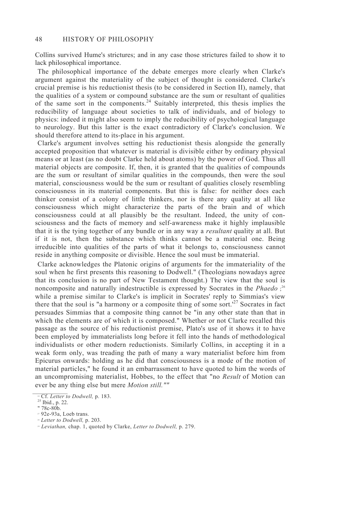Collins survived Hume's strictures; and in any case those strictures failed to show it to lack philosophical importance.

The philosophical importance of the debate emerges more clearly when Clarke's argument against the materiality of the subject of thought is considered. Clarke's crucial premise is his reductionist thesis (to be considered in Section II), namely, that the qualities of a system or compound substance are the sum or resultant of qualities of the same sort in the components.<sup>24</sup> Suitably interpreted, this thesis implies the reducibility of language about societies to talk of individuals, and of biology to physics: indeed it might also seem to imply the reducibility of psychological language to neurology. But this latter is the exact contradictory of Clarke's conclusion. We should therefore attend to its-place in his argument.

Clarke's argument involves setting his reductionist thesis alongside the generally accepted proposition that whatever is material is divisible either by ordinary physical means or at least (as no doubt Clarke held about atoms) by the power of God. Thus all material objects are composite. If, then, it is granted that the qualities of compounds are the sum or resultant of similar qualities in the compounds, then were the soul material, consciousness would be the sum or resultant of qualities closely resembling consciousness in its material components. But this is false: for neither does each thinker consist of a colony of little thinkers, nor is there any quality at all like consciousness which might characterize the parts of the brain and of which consciousness could at all plausibly be the resultant. Indeed, the unity of consciousness and the facts of memory and self-awareness make it highly implausible that it is the tying together of any bundle or in any way a *resultant* quality at all. But if it is not, then the substance which thinks cannot be a material one. Being irreducible into qualities of the parts of what it belongs to, consciousness cannot reside in anything composite or divisible. Hence the soul must be immaterial.

Clarke acknowledges the Platonic origins of arguments for the immateriality of the soul when he first presents this reasoning to Dodwell." (Theologians nowadays agree that its conclusion is no part of New Testament thought.) The view that the soul is noncomposite and naturally indestructible is expressed by Socrates in the *Phaedo* ; 26 while a premise similar to Clarke's is implicit in Socrates' reply to Simmias's view there that the soul is "a harmony or a composite thing of some sort.<sup>27</sup> Socrates in fact persuades Simmias that a composite thing cannot be "in any other state than that in which the elements are of which it is composed." Whether or not Clarke recalled this passage as the source of his reductionist premise, Plato's use of it shows it to have been employed by immaterialists long before it fell into the hands of methodological individualists or other modern reductionists. Similarly Collins, in accepting it in a weak form only, was treading the path of many a wary materialist before him from Epicurus onwards: holding as he did that consciousness is a mode of the motion of material particles," he found it an embarrassment to have quoted to him the words of an uncompromising materialist, Hobbes, to the effect that "no *Result* of Motion can ever be any thing else but mere *Motion still.""*

<sup>&</sup>lt;sup>25</sup> Cf. *Letter to Dodwell*, p. 183.<br><sup>25</sup> Ibid., p. 22.

<sup>&</sup>quot; 78c-80b.

<sup>&</sup>lt;sup>27</sup> 92e-93a, Loeb trans.

<sup>28</sup> *Letter to Dodwell,* p. 203.

<sup>2 9</sup> *Leviathan,* chap. 1, quoted by Clarke, *Letter to Dodwell,* p. 279.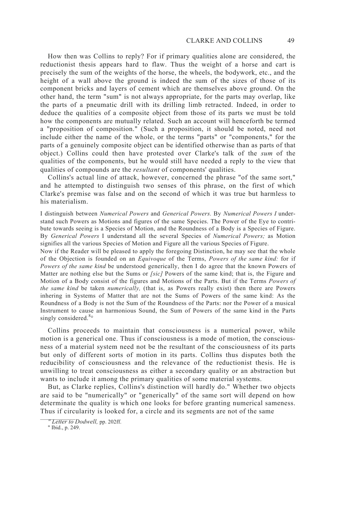How then was Collins to reply? For if primary qualities alone are considered, the reductionist thesis appears hard to flaw. Thus the weight of a horse and cart is precisely the sum of the weights of the horse, the wheels, the bodywork, etc., and the height of a wall above the ground is indeed the sum of the sizes of those of its component bricks and layers of cement which are themselves above ground. On the other hand, the term "sum" is not always appropriate, for the parts may overlap, like the parts of a pneumatic drill with its drilling limb retracted. Indeed, in order to deduce the qualities of a composite object from those of its parts we must be told how the components are mutually related. Such an account will henceforth be termed a "proposition of composition." (Such a proposition, it should be noted, need not include either the name of the whole, or the terms "parts" or "components," for the parts of a genuinely composite object can be identified otherwise than as parts of that object.) Collins could then have protested over Clarke's talk of the *sum* of the qualities of the components, but he would still have needed a reply to the view that qualities of compounds are the *resultant* of components' qualities.

Collins's actual line of attack, however, concerned the phrase "of the same sort," and he attempted to distinguish two senses of this phrase, on the first of which Clarke's premise was false and on the second of which it was true but harmless to his materialism.

I distinguish between *Numerical Powers* and *Generical Powers.* By *Numerical Powers I* understand such Powers as Motions and figures of the same Species. The Power of the Eye to contribute towards seeing is a Species of Motion, and the Roundness of a Body is a Species of Figure. By *Generical Powers* I understand all the several Species of *Numerical Powers;* as Motion signifies all the various Species of Motion and Figure all the various Species of Figure.

Now if the Reader will be pleased to apply the foregoing Distinction, he may see that the whole of the Objection is founded on an *Equivoque* of the Terms, *Powers of the same kind:* for if *Powers of the same kind* be understood generically, then I do agree that the known Powers of Matter are nothing else but the Sums or *[sic]* Powers of the same kind; that is, the Figure and Motion of a Body consist of the figures and Motions of the Parts. But if the Terms *Powers of the same kind* be taken *numerically,* (that is, as Powers really exist) then there are Powers inhering in Systems of Matter that are not the Sums of Powers of the same kind: As the Roundness of a Body is not the Sum of the Roundness of the Parts: nor the Power of a musical Instrument to cause an harmonious Sound, the Sum of Powers of the same kind in the Parts singly considered.<sup>80</sup>

Collins proceeds to maintain that consciousness is a numerical power, while motion is a generical one. Thus if consciousness is a mode of motion, the consciousness of a material system need not be the resultant of the consciousness of its parts but only of different sorts of motion in its parts. Collins thus disputes both the reducibility of consciousness and the relevance of the reductionist thesis. He is unwilling to treat consciousness as either a secondary quality or an abstraction but wants to include it among the primary qualities of some material systems.

But, as Clarke replies, Collins's distinction will hardly do." Whether two objects are said to be "numerically" or "generically" of the same sort will depend on how determinate the quality is which one looks for before granting numerical sameness. Thus if circularity is looked for, a circle and its segments are not of the same

*<sup>&</sup>quot; Letter to Dodwell,* pp. 202ff.

<sup>&</sup>quot; Ibid., p. 249.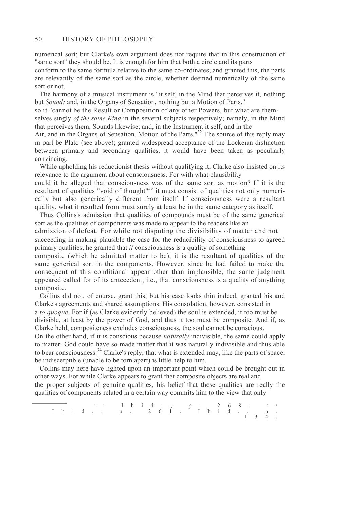numerical sort; but Clarke's own argument does not require that in this construction of "same sort" they should be. It is enough for him that both a circle and its parts

conform to the same formula relative to the same co-ordinates; and granted this, the parts are relevantly of the same sort as the circle, whether deemed numerically of the same sort or not.

The harmony of a musical instrument is "it self, in the Mind that perceives it, nothing but *Sound;* and, in the Organs of Sensation, nothing but a Motion of Parts,"

so it "cannot be the Result or Composition of any other Powers, but what are themselves singly *of the same Kind* in the several subjects respectively; namely, in the Mind that perceives them, Sounds likewise; and, in the Instrument it self, and in the

Air, and in the Organs of Sensation, Motion of the Parts."<sup>32</sup> The source of this reply may in part be Plato (see above); granted widespread acceptance of the Lockeian distinction between primary and secondary qualities, it would have been taken as peculiarly convincing.

While upholding his reductionist thesis without qualifying it, Clarke also insisted on its relevance to the argument about consciousness. For with what plausibility

could it be alleged that consciousness was of the same sort as motion? If it is the resultant of qualities "void of thought"<sup>33</sup> it must consist of qualities not only numerically but also generically different from itself. If consciousness were a resultant quality, what it resulted from must surely at least be in the same category as itself.

Thus Collins's admission that qualities of compounds must be of the same generical sort as the qualities of components was made to appear to the readers like an

admission of defeat. For while not disputing the divisibility of matter and not succeeding in making plausible the case for the reducibility of consciousness to agreed primary qualities, he granted that *if* consciousness is a quality of something

composite (which he admitted matter to be), it is the resultant of qualities of the same generical sort in the components. However, since he had failed to make the consequent of this conditional appear other than implausible, the same judgment appeared called for of its antecedent, i.e., that consciousness is a quality of anything composite.

Collins did not, of course, grant this; but his case looks thin indeed, granted his and Clarke's agreements and shared assumptions. His consolation, however, consisted in

a *to quoque.* For if (as Clarke evidently believed) the soul is extended, it too must be

divisible, at least by the power of God, and thus it too must be composite. And if, as Clarke held, compositeness excludes consciousness, the soul cannot be conscious.

On the other hand, if it is conscious because *naturally* indivisible, the same could apply to matter: God could have so made matter that it was naturally indivisible and thus able to bear consciousness.<sup>34</sup> Clarke's reply, that what is extended may, like the parts of space, be indiscerptible (unable to be torn apart) is little help to him.

Collins may here have lighted upon an important point which could be brought out in other ways. For while Clarke appears to grant that composite objects are real and the proper subjects of genuine qualities, his belief that these qualities are really the qualities of components related in a certain way commits him to the view that only

<sup>3</sup> <sup>2</sup> I b i d ., p . 2 6 8 . <sup>3</sup>  $I$  b i d . , p . 2 6 1 . I b i d . , p . 134.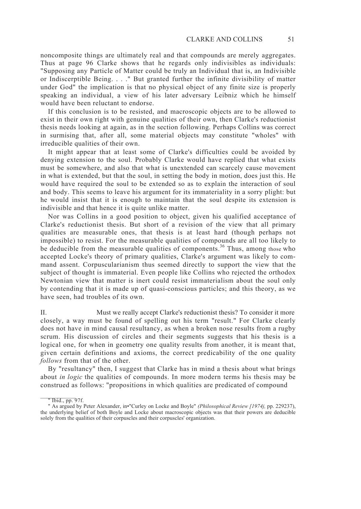noncomposite things are ultimately real and that compounds are merely aggregates. Thus at page 96 Clarke shows that he regards only indivisibles as individuals: "Supposing any Particle of Matter could be truly an Individual that is, an Indivisible or Indiscerptible Being. . . ." But granted further the infinite divisibility of matter under God" the implication is that no physical object of any finite size is properly speaking an individual, a view of his later adversary Leibniz which he himself would have been reluctant to endorse.

If this conclusion is to be resisted, and macroscopic objects are to be allowed to exist in their own right with genuine qualities of their own, then Clarke's reductionist thesis needs looking at again, as in the section following. Perhaps Collins was correct in surmising that, after all, some material objects may constitute "wholes" with irreducible qualities of their own.

It might appear that at least some of Clarke's difficulties could be avoided by denying extension to the soul. Probably Clarke would have replied that what exists must be somewhere, and also that what is unextended can scarcely cause movement in what is extended, but that the soul, in setting the body in motion, does just this. He would have required the soul to be extended so as to explain the interaction of soul and body. This seems to leave his argument for its immateriality in a sorry plight: but he would insist that it is enough to maintain that the soul despite its extension is indivisible and that hence it is quite unlike matter.

Nor was Collins in a good position to object, given his qualified acceptance of Clarke's reductionist thesis. But short of a revision of the view that all primary qualities are measurable ones, that thesis is at least hard (though perhaps not impossible) to resist. For the measurable qualities of compounds are all too likely to be deducible from the measurable qualities of components.<sup>36</sup> Thus, among those who accepted Locke's theory of primary qualities, Clarke's argument was likely to command assent. Corpuscularianism thus seemed directly to support the view that the subject of thought is immaterial. Even people like Collins who rejected the orthodox Newtonian view that matter is inert could resist immaterialism about the soul only by contending that it is made up of quasi-conscious particles; and this theory, as we have seen, had troubles of its own.

II. Must we really accept Clarke's reductionist thesis? To consider it more closely, a way must be found of spelling out his term "result." For Clarke clearly does not have in mind causal resultancy, as when a broken nose results from a rugby scrum. His discussion of circles and their segments suggests that his thesis is a logical one, for when in geometry one quality results from another, it is meant that, given certain definitions and axioms, the correct predicability of the one quality *follows* from that of the other.

By "resultancy" then, I suggest that Clarke has in mind a thesis about what brings about *in logic* the qualities of compounds. In more modern terms his thesis may be construed as follows: "propositions in which qualities are predicated of compound

<sup>&</sup>quot; Ibid., pp. 97f.

<sup>&</sup>quot; As argued by Peter Alexander, in•"Curley on Locke and Boyle" *(Philosophical Review [1974j,* pp. 229237), the underlying belief of both Boyle and Locke about macroscopic objects was that their powers are deducible solely from the qualities of their corpuscles and their corpuscles' organization.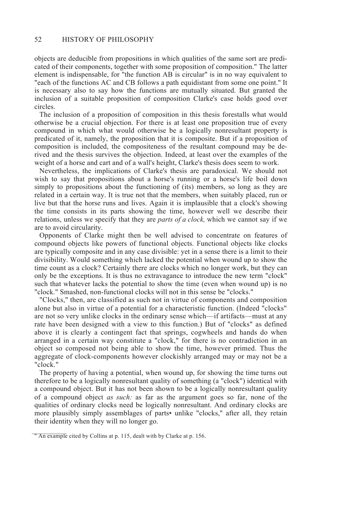objects are deducible from propositions in which qualities of the same sort are predicated of their components, together with some proposition of composition." The latter element is indispensable, for "the function AB is circular" is in no way equivalent to "each of the functions AC and CB follows a path equidistant from some one point." It is necessary also to say how the functions are mutually situated. But granted the inclusion of a suitable proposition of composition Clarke's case holds good over circles.

The inclusion of a proposition of composition in this thesis forestalls what would otherwise be a crucial objection. For there is at least one proposition true of every compound in which what would otherwise be a logically nonresultant property is predicated of it, namely, the proposition that it is composite. But if a proposition of composition is included, the compositeness of the resultant compound may be derived and the thesis survives the objection. Indeed, at least over the examples of the weight of a horse and cart and of a wall's height, Clarke's thesis does seem to work.

Nevertheless, the implications of Clarke's thesis are paradoxical. We should not wish to say that propositions about a horse's running or a horse's life boil down simply to propositions about the functioning of (its) members, so long as they are related in a certain way. It is true not that the members, when suitably placed, run or live but that the horse runs and lives. Again it is implausible that a clock's showing the time consists in its parts showing the time, however well we describe their relations, unless we specify that they are *parts of a clock,* which we cannot say if we are to avoid circularity.

Opponents of Clarke might then be well advised to concentrate on features of compound objects like powers of functional objects. Functional objects like clocks are typically composite and in any case divisible: yet in a sense there is a limit to their divisibility. Would something which lacked the potential when wound up to show the time count as a clock? Certainly there are clocks which no longer work, but they can only be the exceptions. It is thus no extravagance to introduce the new term "clock" such that whatever lacks the potential to show the time (even when wound up) is no "clock." Smashed, non-functional clocks will not in this sense be "clocks."

"Clocks," then, are classified as such not in virtue of components and composition alone but also in virtue of a potential for a characteristic function. (Indeed "clocks" are not so very unlike clocks in the ordinary sense which—if artifacts—must at any rate have been designed with a view to this function.) But of "clocks" as defined above it is clearly a contingent fact that springs, cogwheels and hands do when arranged in a certain way constitute a "clock," for there is no contradiction in an object so composed not being able to show the time, however primed. Thus the aggregate of clock-components however clockishly arranged may or may not be a "clock."

The property of having a potential, when wound up, for showing the time turns out therefore to be a logically nonresultant quality of something (a "clock") identical with a compound object. But it has not been shown to be a logically nonresultant quality of a compound object *as such:* as far as the argument goes so far, none of the qualities of ordinary clocks need be logically nonresultant. And ordinary clocks are more plausibly simply assemblages of parts• unlike "clocks," after all, they retain their identity when they will no longer go.

<sup>&</sup>quot; An example cited by Collins at p. 115, dealt with by Clarke at p. 156.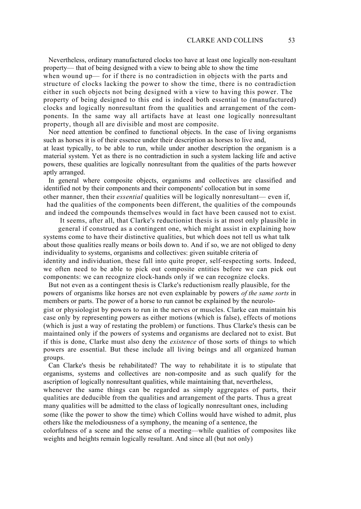Nevertheless, ordinary manufactured clocks too have at least one logically non-resultant property— that of being designed with a view to being able to show the time

when wound up— for if there is no contradiction in objects with the parts and structure of clocks lacking the power to show the time, there is no contradiction either in such objects not being designed with a view to having this power. The property of being designed to this end is indeed both essential to (manufactured) clocks and logically nonresultant from the qualities and arrangement of the components. In the same way all artifacts have at least one logically nonresultant property, though all are divisible and most are composite.

Nor need attention be confined to functional objects. In the case of living organisms such as horses it is of their essence under their description as horses to live and,

at least typically, to be able to run, while under another description the organism is a material system. Yet as there is no contradiction in such a system lacking life and active powers, these qualities are logically nonresultant from the qualities of the parts however aptly arranged.

In general where composite objects, organisms and collectives are classified and identified not by their components and their components' collocation but in some

other manner, then their *essential* qualities will be logically nonresultant— even if, had the qualities of the components been different, the qualities of the compounds and indeed the compounds themselves would in fact have been caused not to exist.

It seems, after all, that Clarke's reductionist thesis is at most only plausible in

general if construed as a contingent one, which might assist in explaining how systems come to have their distinctive qualities, but which does not tell us what talk about those qualities really means or boils down to. And if so, we are not obliged to deny individuality to systems, organisms and collectives: given suitable criteria of identity and individuation, these fall into quite proper, self-respecting sorts. Indeed, we often need to be able to pick out composite entities before we can pick out

components: we can recognize clock-hands only if we can recognize clocks.

But not even as a contingent thesis is Clarke's reductionism really plausible, for the powers of organisms like horses are not even explainable by powers *of the same sorts* in members or parts. The power of a horse to run cannot be explained by the neurolo-

gist or physiologist by powers to run in the nerves or muscles. Clarke can maintain his case only by representing powers as either motions (which is false), effects of motions (which is just a way of restating the problem) or functions. Thus Clarke's thesis can be maintained only if the powers of systems and organisms are declared not to exist. But if this is done, Clarke must also deny the *existence* of those sorts of things to which powers are essential. But these include all living beings and all organized human groups.

Can Clarke's thesis be rehabilitated? The way to rehabilitate it is to stipulate that organisms, systems and collectives are non-composite and as such qualify for the ascription of logically nonresultant qualities, while maintaining that, nevertheless,

whenever the same things can be regarded as simply aggregates of parts, their qualities are deducible from the qualities and arrangement of the parts. Thus a great many qualities will be admitted to the class of logically nonresultant ones, including

some (like the power to show the time) which Collins would have wished to admit, plus others like the melodiousness of a symphony, the meaning of a sentence, the

colorfulness of a scene and the sense of a meeting—while qualities of composites like weights and heights remain logically resultant. And since all (but not only)